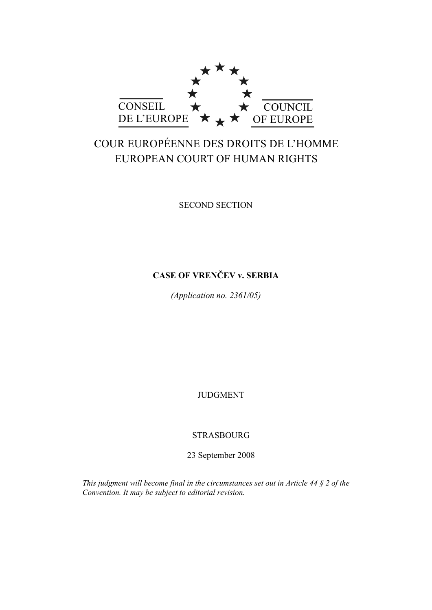

# COUR EUROPÉENNE DES DROITS DE L'HOMME EUROPEAN COURT OF HUMAN RIGHTS

SECOND SECTION

# **CASE OF VRENČEV v. SERBIA**

*(Application no. 2361/05)* 

JUDGMENT

# STRASBOURG

23 September 2008

*This judgment will become final in the circumstances set out in Article 44 § 2 of the Convention. It may be subject to editorial revision.*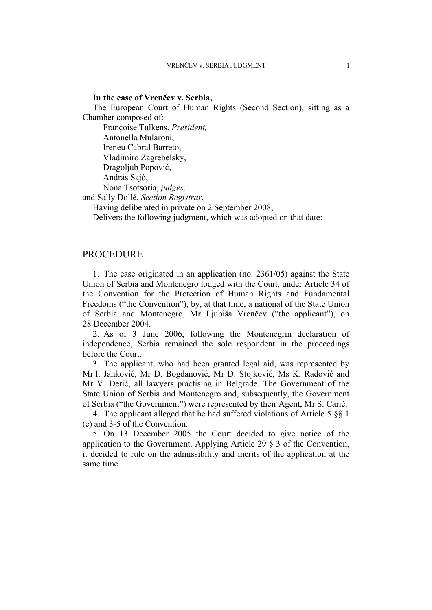### **In the case of Vrenčev v. Serbia,**

The European Court of Human Rights (Second Section), sitting as a Chamber composed of:

 Françoise Tulkens, *President,*  Antonella Mularoni, Ireneu Cabral Barreto, Vladimiro Zagrebelsky, Dragoljub Popović, András Sajó, Nona Tsotsoria, *judges,* and Sally Dollé, *Section Registrar*,

Having deliberated in private on 2 September 2008,

Delivers the following judgment, which was adopted on that date:

### PROCEDURE

1. The case originated in an application (no. 2361/05) against the State Union of Serbia and Montenegro lodged with the Court, under Article 34 of the Convention for the Protection of Human Rights and Fundamental Freedoms ("the Convention"), by, at that time, a national of the State Union of Serbia and Montenegro, Mr Ljubiša Vrenčev ("the applicant"), on 28 December 2004.

2. As of 3 June 2006, following the Montenegrin declaration of independence, Serbia remained the sole respondent in the proceedings before the Court.

3. The applicant, who had been granted legal aid, was represented by Mr I. Janković, Mr D. Bogdanović, Mr D. Stojković, Ms K. Radović and Mr V. Đerić, all lawyers practising in Belgrade. The Government of the State Union of Serbia and Montenegro and, subsequently, the Government of Serbia ("the Government") were represented by their Agent, Mr S. Carić.

4. The applicant alleged that he had suffered violations of Article 5 §§ 1 (c) and 3-5 of the Convention.

5. On 13 December 2005 the Court decided to give notice of the application to the Government. Applying Article 29 § 3 of the Convention, it decided to rule on the admissibility and merits of the application at the same time.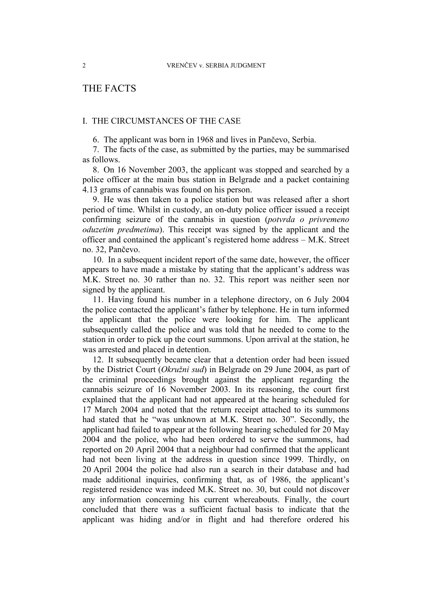# THE FACTS

### I. THE CIRCUMSTANCES OF THE CASE

6. The applicant was born in 1968 and lives in Pančevo, Serbia.

7. The facts of the case, as submitted by the parties, may be summarised as follows.

8. On 16 November 2003, the applicant was stopped and searched by a police officer at the main bus station in Belgrade and a packet containing 4.13 grams of cannabis was found on his person.

9. He was then taken to a police station but was released after a short period of time. Whilst in custody, an on-duty police officer issued a receipt confirming seizure of the cannabis in question (*potvrda o privremeno oduzetim predmetima*). This receipt was signed by the applicant and the officer and contained the applicant's registered home address – M.K. Street no. 32, Pančevo.

10. In a subsequent incident report of the same date, however, the officer appears to have made a mistake by stating that the applicant's address was M.K. Street no. 30 rather than no. 32. This report was neither seen nor signed by the applicant.

11. Having found his number in a telephone directory, on 6 July 2004 the police contacted the applicant's father by telephone. He in turn informed the applicant that the police were looking for him. The applicant subsequently called the police and was told that he needed to come to the station in order to pick up the court summons. Upon arrival at the station, he was arrested and placed in detention.

12. It subsequently became clear that a detention order had been issued by the District Court (*Okružni sud*) in Belgrade on 29 June 2004, as part of the criminal proceedings brought against the applicant regarding the cannabis seizure of 16 November 2003. In its reasoning, the court first explained that the applicant had not appeared at the hearing scheduled for 17 March 2004 and noted that the return receipt attached to its summons had stated that he "was unknown at M.K. Street no. 30". Secondly, the applicant had failed to appear at the following hearing scheduled for 20 May 2004 and the police, who had been ordered to serve the summons, had reported on 20 April 2004 that a neighbour had confirmed that the applicant had not been living at the address in question since 1999. Thirdly, on 20 April 2004 the police had also run a search in their database and had made additional inquiries, confirming that, as of 1986, the applicant's registered residence was indeed M.K. Street no. 30, but could not discover any information concerning his current whereabouts. Finally, the court concluded that there was a sufficient factual basis to indicate that the applicant was hiding and/or in flight and had therefore ordered his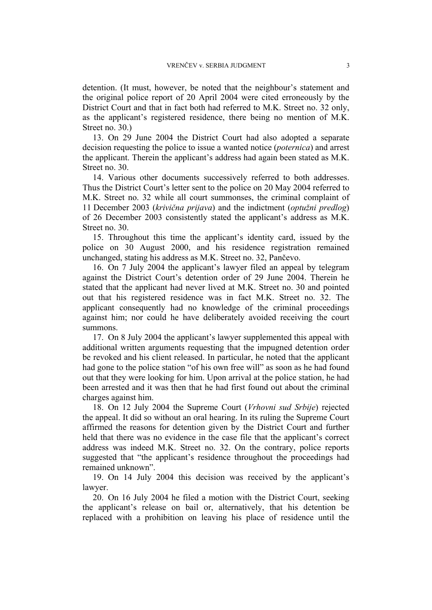detention. (It must, however, be noted that the neighbour's statement and the original police report of 20 April 2004 were cited erroneously by the District Court and that in fact both had referred to M.K. Street no. 32 only, as the applicant's registered residence, there being no mention of M.K. Street no. 30.)

13. On 29 June 2004 the District Court had also adopted a separate decision requesting the police to issue a wanted notice (*poternica*) and arrest the applicant. Therein the applicant's address had again been stated as M.K. Street no. 30.

14. Various other documents successively referred to both addresses. Thus the District Court's letter sent to the police on 20 May 2004 referred to M.K. Street no. 32 while all court summonses, the criminal complaint of 11 December 2003 (*krivična prijava*) and the indictment (*optužni predlog*) of 26 December 2003 consistently stated the applicant's address as M.K. Street no. 30.

15. Throughout this time the applicant's identity card, issued by the police on 30 August 2000, and his residence registration remained unchanged, stating his address as M.K. Street no. 32, Pančevo.

16. On 7 July 2004 the applicant's lawyer filed an appeal by telegram against the District Court's detention order of 29 June 2004. Therein he stated that the applicant had never lived at M.K. Street no. 30 and pointed out that his registered residence was in fact M.K. Street no. 32. The applicant consequently had no knowledge of the criminal proceedings against him; nor could he have deliberately avoided receiving the court summons.

17. On 8 July 2004 the applicant's lawyer supplemented this appeal with additional written arguments requesting that the impugned detention order be revoked and his client released. In particular, he noted that the applicant had gone to the police station "of his own free will" as soon as he had found out that they were looking for him. Upon arrival at the police station, he had been arrested and it was then that he had first found out about the criminal charges against him.

18. On 12 July 2004 the Supreme Court (*Vrhovni sud Srbije*) rejected the appeal. It did so without an oral hearing. In its ruling the Supreme Court affirmed the reasons for detention given by the District Court and further held that there was no evidence in the case file that the applicant's correct address was indeed M.K. Street no. 32. On the contrary, police reports suggested that "the applicant's residence throughout the proceedings had remained unknown".

19. On 14 July 2004 this decision was received by the applicant's lawyer.

20. On 16 July 2004 he filed a motion with the District Court, seeking the applicant's release on bail or, alternatively, that his detention be replaced with a prohibition on leaving his place of residence until the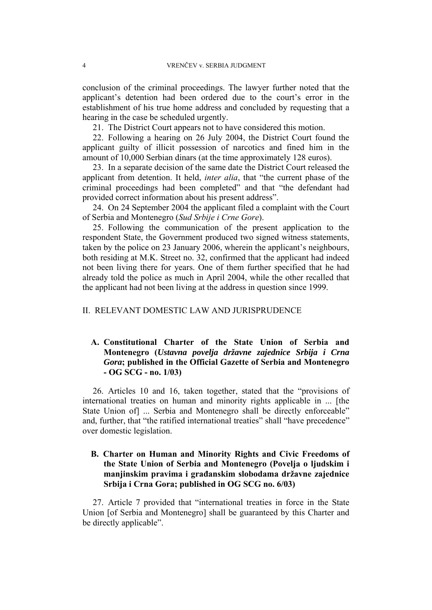conclusion of the criminal proceedings. The lawyer further noted that the applicant's detention had been ordered due to the court's error in the establishment of his true home address and concluded by requesting that a hearing in the case be scheduled urgently.

21. The District Court appears not to have considered this motion.

22. Following a hearing on 26 July 2004, the District Court found the applicant guilty of illicit possession of narcotics and fined him in the amount of 10,000 Serbian dinars (at the time approximately 128 euros).

23. In a separate decision of the same date the District Court released the applicant from detention. It held, *inter alia*, that "the current phase of the criminal proceedings had been completed" and that "the defendant had provided correct information about his present address".

24. On 24 September 2004 the applicant filed a complaint with the Court of Serbia and Montenegro (*Sud Srbije i Crne Gore*).

25. Following the communication of the present application to the respondent State, the Government produced two signed witness statements, taken by the police on 23 January 2006, wherein the applicant's neighbours, both residing at M.K. Street no. 32, confirmed that the applicant had indeed not been living there for years. One of them further specified that he had already told the police as much in April 2004, while the other recalled that the applicant had not been living at the address in question since 1999.

### II. RELEVANT DOMESTIC LAW AND JURISPRUDENCE

### **A. Constitutional Charter of the State Union of Serbia and Montenegro (***Ustavna povelja državne zajednice Srbija i Crna Gora***; published in the Official Gazette of Serbia and Montenegro - OG SCG - no. 1/03)**

26. Articles 10 and 16, taken together, stated that the "provisions of international treaties on human and minority rights applicable in ... [the State Union of] ... Serbia and Montenegro shall be directly enforceable" and, further, that "the ratified international treaties" shall "have precedence" over domestic legislation.

### **B. Charter on Human and Minority Rights and Civic Freedoms of the State Union of Serbia and Montenegro (Povelja o ljudskim i manjinskim pravima i građanskim slobodama državne zajednice Srbija i Crna Gora; published in OG SCG no. 6/03)**

27. Article 7 provided that "international treaties in force in the State Union [of Serbia and Montenegro] shall be guaranteed by this Charter and be directly applicable".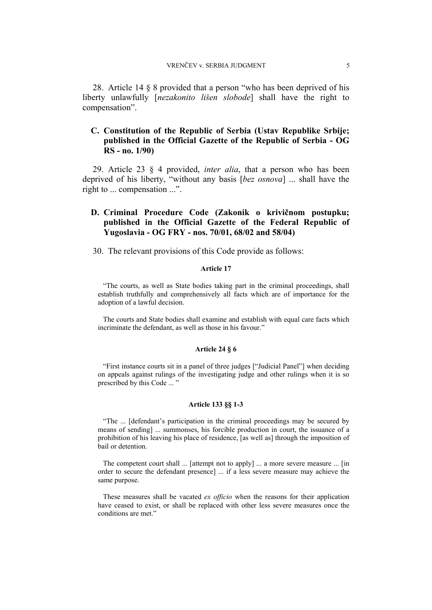28. Article 14 § 8 provided that a person "who has been deprived of his liberty unlawfully [*nezakonito lišen slobode*] shall have the right to compensation".

### **C. Constitution of the Republic of Serbia (Ustav Republike Srbije; published in the Official Gazette of the Republic of Serbia - OG RS - no. 1/90)**

29. Article 23 § 4 provided, *inter alia*, that a person who has been deprived of his liberty, "without any basis [*bez osnova*] ... shall have the right to ... compensation ...".

### **D. Criminal Procedure Code (Zakonik o krivičnom postupku; published in the Official Gazette of the Federal Republic of Yugoslavia - OG FRY - nos. 70/01, 68/02 and 58/04)**

30. The relevant provisions of this Code provide as follows:

#### **Article 17**

"The courts, as well as State bodies taking part in the criminal proceedings, shall establish truthfully and comprehensively all facts which are of importance for the adoption of a lawful decision.

The courts and State bodies shall examine and establish with equal care facts which incriminate the defendant, as well as those in his favour."

#### **Article 24 § 6**

"First instance courts sit in a panel of three judges ["Judicial Panel"] when deciding on appeals against rulings of the investigating judge and other rulings when it is so prescribed by this Code ... "

#### **Article 133 §§ 1-3**

"The ... [defendant's participation in the criminal proceedings may be secured by means of sending] ... summonses, his forcible production in court, the issuance of a prohibition of his leaving his place of residence, [as well as] through the imposition of bail or detention.

The competent court shall ... [attempt not to apply] ... a more severe measure ... [in order to secure the defendant presence] ... if a less severe measure may achieve the same purpose.

These measures shall be vacated *ex officio* when the reasons for their application have ceased to exist, or shall be replaced with other less severe measures once the conditions are met."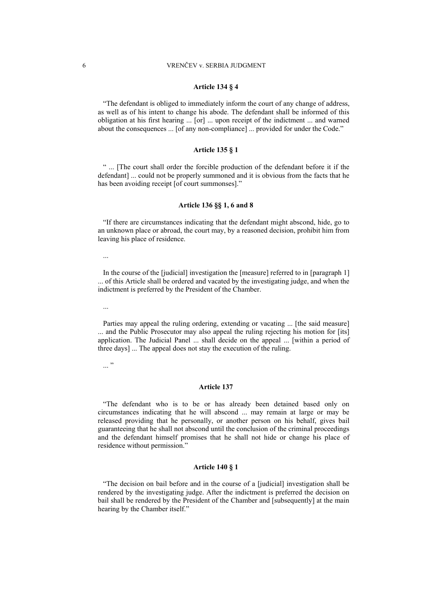#### **Article 134 § 4**

"The defendant is obliged to immediately inform the court of any change of address, as well as of his intent to change his abode. The defendant shall be informed of this obligation at his first hearing ... [or] ... upon receipt of the indictment ... and warned about the consequences ... [of any non-compliance] ... provided for under the Code."

#### **Article 135 § 1**

" ... [The court shall order the forcible production of the defendant before it if the defendant] ... could not be properly summoned and it is obvious from the facts that he has been avoiding receipt [of court summonses]."

#### **Article 136 §§ 1, 6 and 8**

"If there are circumstances indicating that the defendant might abscond, hide, go to an unknown place or abroad, the court may, by a reasoned decision, prohibit him from leaving his place of residence.

...

In the course of the [judicial] investigation the [measure] referred to in [paragraph 1] ... of this Article shall be ordered and vacated by the investigating judge, and when the indictment is preferred by the President of the Chamber.

...

Parties may appeal the ruling ordering, extending or vacating ... [the said measure] ... and the Public Prosecutor may also appeal the ruling rejecting his motion for [its] application. The Judicial Panel ... shall decide on the appeal ... [within a period of three days] ... The appeal does not stay the execution of the ruling.

...<sup>"</sup>

#### **Article 137**

"The defendant who is to be or has already been detained based only on circumstances indicating that he will abscond ... may remain at large or may be released providing that he personally, or another person on his behalf, gives bail guaranteeing that he shall not abscond until the conclusion of the criminal proceedings and the defendant himself promises that he shall not hide or change his place of residence without permission."

#### **Article 140 § 1**

"The decision on bail before and in the course of a [judicial] investigation shall be rendered by the investigating judge. After the indictment is preferred the decision on bail shall be rendered by the President of the Chamber and [subsequently] at the main hearing by the Chamber itself."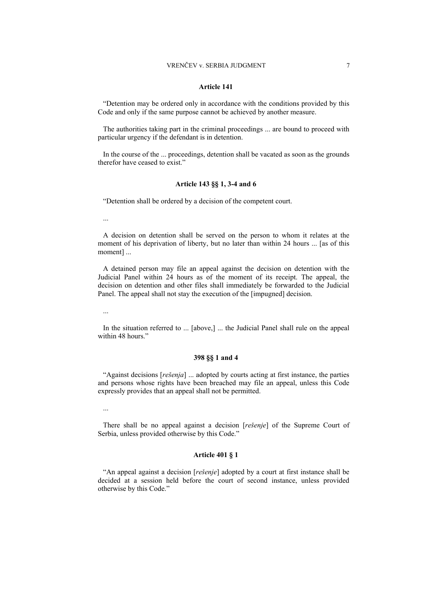#### **Article 141**

"Detention may be ordered only in accordance with the conditions provided by this Code and only if the same purpose cannot be achieved by another measure.

The authorities taking part in the criminal proceedings ... are bound to proceed with particular urgency if the defendant is in detention.

In the course of the ... proceedings, detention shall be vacated as soon as the grounds therefor have ceased to exist."

#### **Article 143 §§ 1, 3-4 and 6**

"Detention shall be ordered by a decision of the competent court.

...

A decision on detention shall be served on the person to whom it relates at the moment of his deprivation of liberty, but no later than within 24 hours ... [as of this moment] ...

A detained person may file an appeal against the decision on detention with the Judicial Panel within 24 hours as of the moment of its receipt. The appeal, the decision on detention and other files shall immediately be forwarded to the Judicial Panel. The appeal shall not stay the execution of the [impugned] decision.

...

In the situation referred to ... [above,] ... the Judicial Panel shall rule on the appeal within 48 hours."

#### **398 §§ 1 and 4**

"Against decisions [*rešenja*] ... adopted by courts acting at first instance, the parties and persons whose rights have been breached may file an appeal, unless this Code expressly provides that an appeal shall not be permitted.

...

There shall be no appeal against a decision [*rešenje*] of the Supreme Court of Serbia, unless provided otherwise by this Code."

#### **Article 401 § 1**

"An appeal against a decision [*rešenje*] adopted by a court at first instance shall be decided at a session held before the court of second instance, unless provided otherwise by this Code."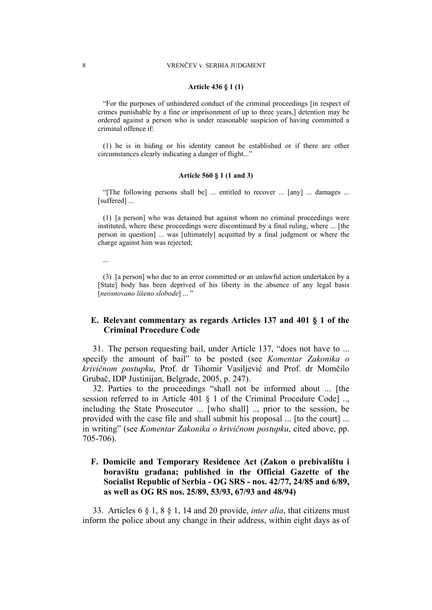#### **Article 436 § 1 (1)**

"For the purposes of unhindered conduct of the criminal proceedings [in respect of crimes punishable by a fine or imprisonment of up to three years,] detention may be ordered against a person who is under reasonable suspicion of having committed a criminal offence if:

(1) he is in hiding or his identity cannot be established or if there are other circumstances clearly indicating a danger of flight..."

#### **Article 560 § 1 (1 and 3)**

"[The following persons shall be] ... entitled to recover ... [any] ... damages ... [suffered] ...

(1) [a person] who was detained but against whom no criminal proceedings were instituted, where these proceedings were discontinued by a final ruling, where ... [the person in question] ... was [ultimately] acquitted by a final judgment or where the charge against him was rejected;

...

(3) [a person] who due to an error committed or an unlawful action undertaken by a [State] body has been deprived of his liberty in the absence of any legal basis [*neosnovano lišeno slobode*] ... "

### **E. Relevant commentary as regards Articles 137 and 401 § 1 of the Criminal Procedure Code**

31. The person requesting bail, under Article 137, "does not have to ... specify the amount of bail" to be posted (see *Komentar Zakonika o krivičnom postupku*, Prof. dr Tihomir Vasiljević and Prof. dr Momčilo Grubač, IDP Justinijan, Belgrade, 2005, p. 247).

32. Parties to the proceedings "shall not be informed about ... [the session referred to in Article 401 § 1 of the Criminal Procedure Code] .., including the State Prosecutor ... [who shall] .., prior to the session, be provided with the case file and shall submit his proposal ... [to the court] ... in writing" (see *Komentar Zakonika o krivičnom postupku*, cited above, pp. 705-706).

### **F. Domicile and Temporary Residence Act (Zakon o prebivalištu i boravištu građana; published in the Official Gazette of the Socialist Republic of Serbia - OG SRS - nos. 42/77, 24/85 and 6/89, as well as OG RS nos. 25/89, 53/93, 67/93 and 48/94)**

33. Articles 6 § 1, 8 § 1, 14 and 20 provide, *inter alia*, that citizens must inform the police about any change in their address, within eight days as of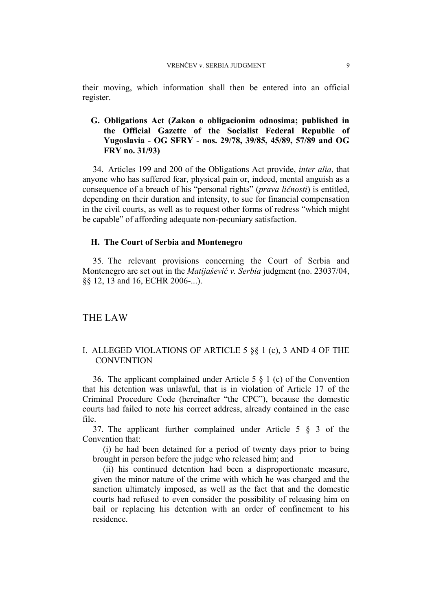their moving, which information shall then be entered into an official register.

### **G. Obligations Act (Zakon o obligacionim odnosima; published in the Official Gazette of the Socialist Federal Republic of Yugoslavia - OG SFRY - nos. 29/78, 39/85, 45/89, 57/89 and OG FRY no. 31/93)**

34. Articles 199 and 200 of the Obligations Act provide, *inter alia*, that anyone who has suffered fear, physical pain or, indeed, mental anguish as a consequence of a breach of his "personal rights" (*prava ličnosti*) is entitled, depending on their duration and intensity, to sue for financial compensation in the civil courts, as well as to request other forms of redress "which might be capable" of affording adequate non-pecuniary satisfaction.

### **H. The Court of Serbia and Montenegro**

35. The relevant provisions concerning the Court of Serbia and Montenegro are set out in the *Matijašević v. Serbia* judgment (no. 23037/04, §§ 12, 13 and 16, ECHR 2006-...).

### THE LAW

### I. ALLEGED VIOLATIONS OF ARTICLE 5 §§ 1 (c), 3 AND 4 OF THE **CONVENTION**

36. The applicant complained under Article 5 § 1 (c) of the Convention that his detention was unlawful, that is in violation of Article 17 of the Criminal Procedure Code (hereinafter "the CPC"), because the domestic courts had failed to note his correct address, already contained in the case file.

37. The applicant further complained under Article 5 § 3 of the Convention that:

(i) he had been detained for a period of twenty days prior to being brought in person before the judge who released him; and

(ii) his continued detention had been a disproportionate measure, given the minor nature of the crime with which he was charged and the sanction ultimately imposed, as well as the fact that and the domestic courts had refused to even consider the possibility of releasing him on bail or replacing his detention with an order of confinement to his residence.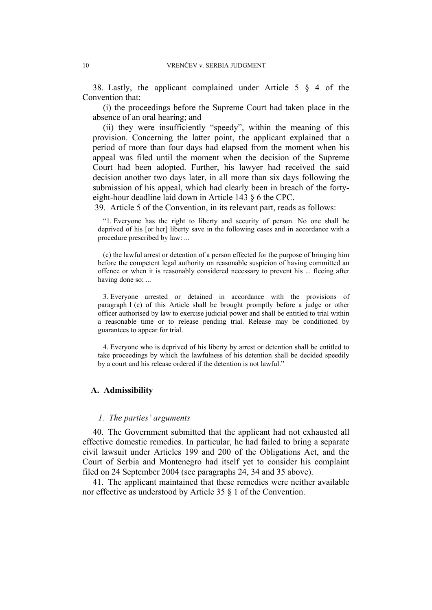38. Lastly, the applicant complained under Article 5 § 4 of the Convention that:

(i) the proceedings before the Supreme Court had taken place in the absence of an oral hearing; and

(ii) they were insufficiently "speedy", within the meaning of this provision. Concerning the latter point, the applicant explained that a period of more than four days had elapsed from the moment when his appeal was filed until the moment when the decision of the Supreme Court had been adopted. Further, his lawyer had received the said decision another two days later, in all more than six days following the submission of his appeal, which had clearly been in breach of the fortyeight-hour deadline laid down in Article 143 § 6 the CPC.

39. Article 5 of the Convention, in its relevant part, reads as follows:

"1. Everyone has the right to liberty and security of person. No one shall be deprived of his [or her] liberty save in the following cases and in accordance with a procedure prescribed by law: ...

(c) the lawful arrest or detention of a person effected for the purpose of bringing him before the competent legal authority on reasonable suspicion of having committed an offence or when it is reasonably considered necessary to prevent his ... fleeing after having done so; ...

3. Everyone arrested or detained in accordance with the provisions of paragraph 1 (c) of this Article shall be brought promptly before a judge or other officer authorised by law to exercise judicial power and shall be entitled to trial within a reasonable time or to release pending trial. Release may be conditioned by guarantees to appear for trial.

4. Everyone who is deprived of his liberty by arrest or detention shall be entitled to take proceedings by which the lawfulness of his detention shall be decided speedily by a court and his release ordered if the detention is not lawful."

### **A. Admissibility**

### *1. The parties' arguments*

40. The Government submitted that the applicant had not exhausted all effective domestic remedies. In particular, he had failed to bring a separate civil lawsuit under Articles 199 and 200 of the Obligations Act, and the Court of Serbia and Montenegro had itself yet to consider his complaint filed on 24 September 2004 (see paragraphs 24, 34 and 35 above).

41. The applicant maintained that these remedies were neither available nor effective as understood by Article 35 § 1 of the Convention.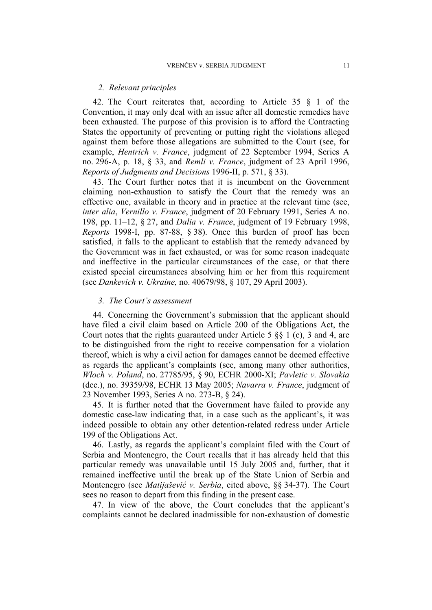### *2. Relevant principles*

42. The Court reiterates that, according to Article 35 § 1 of the Convention, it may only deal with an issue after all domestic remedies have been exhausted. The purpose of this provision is to afford the Contracting States the opportunity of preventing or putting right the violations alleged against them before those allegations are submitted to the Court (see, for example, *Hentrich v. France*, judgment of 22 September 1994, Series A no. 296-A, p. 18, § 33, and *Remli v. France*, judgment of 23 April 1996, *Reports of Judgments and Decisions* 1996-II, p. 571, § 33).

43. The Court further notes that it is incumbent on the Government claiming non-exhaustion to satisfy the Court that the remedy was an effective one, available in theory and in practice at the relevant time (see, *inter alia*, *Vernillo v. France*, judgment of 20 February 1991, Series A no. 198, pp. 11–12, § 27, and *Dalia v. France*, judgment of 19 February 1998, *Reports* 1998-I, pp. 87-88, § 38). Once this burden of proof has been satisfied, it falls to the applicant to establish that the remedy advanced by the Government was in fact exhausted, or was for some reason inadequate and ineffective in the particular circumstances of the case, or that there existed special circumstances absolving him or her from this requirement (see *Dankevich v. Ukraine,* no. 40679/98, § 107, 29 April 2003).

### *3. The Court's assessment*

44. Concerning the Government's submission that the applicant should have filed a civil claim based on Article 200 of the Obligations Act, the Court notes that the rights guaranteed under Article 5 §§ 1 (c), 3 and 4, are to be distinguished from the right to receive compensation for a violation thereof, which is why a civil action for damages cannot be deemed effective as regards the applicant's complaints (see, among many other authorities, *Włoch v. Poland*, no. 27785/95, § 90, ECHR 2000-XI; *Pavletic v. Slovakia* (dec.), no. 39359/98, ECHR 13 May 2005; *Navarra v. France*, judgment of 23 November 1993, Series A no. 273-B, § 24).

45. It is further noted that the Government have failed to provide any domestic case-law indicating that, in a case such as the applicant's, it was indeed possible to obtain any other detention-related redress under Article 199 of the Obligations Act.

46. Lastly, as regards the applicant's complaint filed with the Court of Serbia and Montenegro, the Court recalls that it has already held that this particular remedy was unavailable until 15 July 2005 and, further, that it remained ineffective until the break up of the State Union of Serbia and Montenegro (see *Matijašević v. Serbia*, cited above, §§ 34-37). The Court sees no reason to depart from this finding in the present case.

47. In view of the above, the Court concludes that the applicant's complaints cannot be declared inadmissible for non-exhaustion of domestic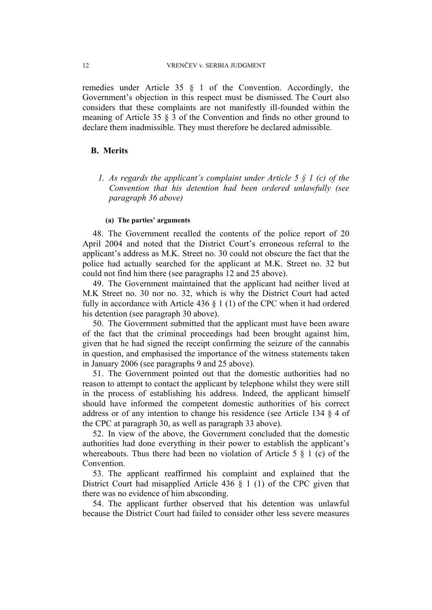remedies under Article 35 § 1 of the Convention. Accordingly, the Government's objection in this respect must be dismissed. The Court also considers that these complaints are not manifestly ill-founded within the meaning of Article 35 § 3 of the Convention and finds no other ground to declare them inadmissible. They must therefore be declared admissible.

### **B. Merits**

*1. As regards the applicant's complaint under Article 5 § 1 (c) of the Convention that his detention had been ordered unlawfully (see paragraph 36 above)* 

### **(a) The parties' arguments**

48. The Government recalled the contents of the police report of 20 April 2004 and noted that the District Court's erroneous referral to the applicant's address as M.K. Street no. 30 could not obscure the fact that the police had actually searched for the applicant at M.K. Street no. 32 but could not find him there (see paragraphs 12 and 25 above).

49. The Government maintained that the applicant had neither lived at M.K Street no. 30 nor no. 32, which is why the District Court had acted fully in accordance with Article 436 § 1 (1) of the CPC when it had ordered his detention (see paragraph 30 above).

50. The Government submitted that the applicant must have been aware of the fact that the criminal proceedings had been brought against him, given that he had signed the receipt confirming the seizure of the cannabis in question, and emphasised the importance of the witness statements taken in January 2006 (see paragraphs 9 and 25 above).

51. The Government pointed out that the domestic authorities had no reason to attempt to contact the applicant by telephone whilst they were still in the process of establishing his address. Indeed, the applicant himself should have informed the competent domestic authorities of his correct address or of any intention to change his residence (see Article 134 § 4 of the CPC at paragraph 30, as well as paragraph 33 above).

52. In view of the above, the Government concluded that the domestic authorities had done everything in their power to establish the applicant's whereabouts. Thus there had been no violation of Article 5  $\S$  1 (c) of the Convention.

53. The applicant reaffirmed his complaint and explained that the District Court had misapplied Article 436 § 1 (1) of the CPC given that there was no evidence of him absconding.

54. The applicant further observed that his detention was unlawful because the District Court had failed to consider other less severe measures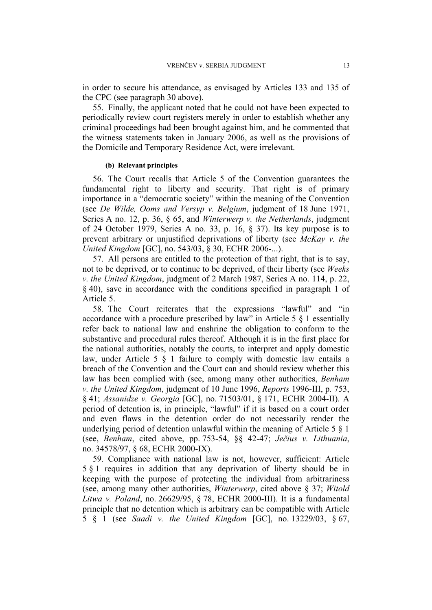in order to secure his attendance, as envisaged by Articles 133 and 135 of the CPC (see paragraph 30 above).

55. Finally, the applicant noted that he could not have been expected to periodically review court registers merely in order to establish whether any criminal proceedings had been brought against him, and he commented that the witness statements taken in January 2006, as well as the provisions of the Domicile and Temporary Residence Act, were irrelevant.

### **(b) Relevant principles**

56. The Court recalls that Article 5 of the Convention guarantees the fundamental right to liberty and security. That right is of primary importance in a "democratic society" within the meaning of the Convention (see *De Wilde, Ooms and Versyp v. Belgium*, judgment of 18 June 1971, Series A no. 12, p. 36, § 65, and *Winterwerp v. the Netherlands*, judgment of 24 October 1979, Series A no. 33, p. 16, § 37). Its key purpose is to prevent arbitrary or unjustified deprivations of liberty (see *McKay v. the United Kingdom* [GC], no. 543/03, § 30, ECHR 2006-...).

57. All persons are entitled to the protection of that right, that is to say, not to be deprived, or to continue to be deprived, of their liberty (see *Weeks v. the United Kingdom*, judgment of 2 March 1987, Series A no. 114, p. 22, § 40), save in accordance with the conditions specified in paragraph 1 of Article 5.

58. The Court reiterates that the expressions "lawful" and "in accordance with a procedure prescribed by law" in Article 5 § 1 essentially refer back to national law and enshrine the obligation to conform to the substantive and procedural rules thereof. Although it is in the first place for the national authorities, notably the courts, to interpret and apply domestic law, under Article 5 § 1 failure to comply with domestic law entails a breach of the Convention and the Court can and should review whether this law has been complied with (see, among many other authorities, *Benham v. the United Kingdom*, judgment of 10 June 1996, *Reports* 1996-III, p. 753, § 41; *Assanidze v. Georgia* [GC], no. 71503/01, § 171, ECHR 2004-II). A period of detention is, in principle, "lawful" if it is based on a court order and even flaws in the detention order do not necessarily render the underlying period of detention unlawful within the meaning of Article 5 § 1 (see, *Benham*, cited above, pp. 753-54, §§ 42-47; *Ječius v. Lithuania*, no. 34578/97, § 68, ECHR 2000-IX).

59. Compliance with national law is not, however, sufficient: Article 5 § 1 requires in addition that any deprivation of liberty should be in keeping with the purpose of protecting the individual from arbitrariness (see, among many other authorities, *Winterwerp*, cited above § 37; *Witold Litwa v. Poland*, no. 26629/95, § 78, ECHR 2000-III). It is a fundamental principle that no detention which is arbitrary can be compatible with Article 5 § 1 (see *Saadi v. the United Kingdom* [GC], no. 13229/03, § 67,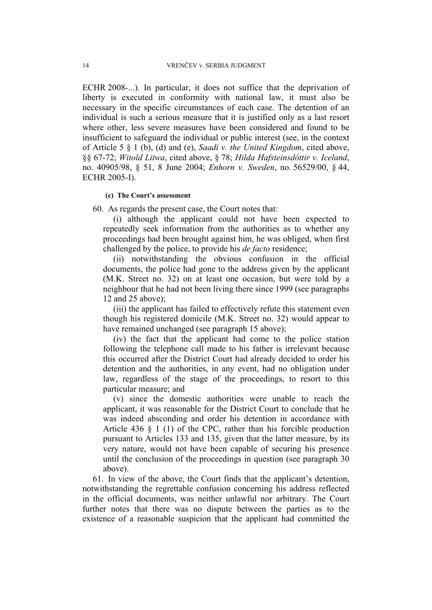ECHR 2008-...). In particular, it does not suffice that the deprivation of liberty is executed in conformity with national law, it must also be necessary in the specific circumstances of each case. The detention of an individual is such a serious measure that it is justified only as a last resort where other, less severe measures have been considered and found to be insufficient to safeguard the individual or public interest (see, in the context of Article 5 § 1 (b), (d) and (e), *Saadi v. the United Kingdom*, cited above, §§ 67-72; *Witold Litwa*, cited above, § 78; *Hilda Hafsteinsdóttir v. Iceland*, no. 40905/98, § 51, 8 June 2004; *Enhorn v. Sweden*, no. 56529/00, § 44, ECHR 2005-I).

### **(c) The Court's assessment**

60. As regards the present case, the Court notes that:

(i) although the applicant could not have been expected to repeatedly seek information from the authorities as to whether any proceedings had been brought against him, he was obliged, when first challenged by the police, to provide his *de facto* residence;

(ii) notwithstanding the obvious confusion in the official documents, the police had gone to the address given by the applicant (M.K. Street no. 32) on at least one occasion, but were told by a neighbour that he had not been living there since 1999 (see paragraphs 12 and 25 above);

(iii) the applicant has failed to effectively refute this statement even though his registered domicile (M.K. Street no. 32) would appear to have remained unchanged (see paragraph 15 above);

(iv) the fact that the applicant had come to the police station following the telephone call made to his father is irrelevant because this occurred after the District Court had already decided to order his detention and the authorities, in any event, had no obligation under law, regardless of the stage of the proceedings, to resort to this particular measure; and

(v) since the domestic authorities were unable to reach the applicant, it was reasonable for the District Court to conclude that he was indeed absconding and order his detention in accordance with Article 436 § 1 (1) of the CPC, rather than his forcible production pursuant to Articles 133 and 135, given that the latter measure, by its very nature, would not have been capable of securing his presence until the conclusion of the proceedings in question (see paragraph 30 above).

61. In view of the above, the Court finds that the applicant's detention, notwithstanding the regrettable confusion concerning his address reflected in the official documents, was neither unlawful nor arbitrary. The Court further notes that there was no dispute between the parties as to the existence of a reasonable suspicion that the applicant had committed the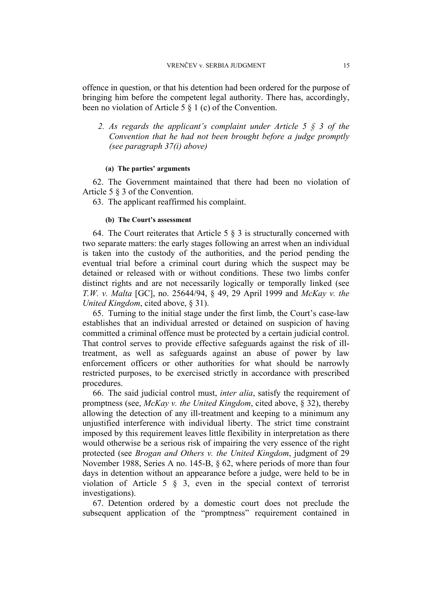offence in question, or that his detention had been ordered for the purpose of bringing him before the competent legal authority. There has, accordingly, been no violation of Article  $5 \hat{8}$  1 (c) of the Convention.

*2. As regards the applicant's complaint under Article 5 § 3 of the Convention that he had not been brought before a judge promptly (see paragraph 37(i) above)* 

### **(a) The parties' arguments**

62. The Government maintained that there had been no violation of Article 5 § 3 of the Convention.

63. The applicant reaffirmed his complaint.

### **(b) The Court's assessment**

64. The Court reiterates that Article 5  $\S$  3 is structurally concerned with two separate matters: the early stages following an arrest when an individual is taken into the custody of the authorities, and the period pending the eventual trial before a criminal court during which the suspect may be detained or released with or without conditions. These two limbs confer distinct rights and are not necessarily logically or temporally linked (see *T.W. v. Malta* [GC], no. 25644/94, § 49, 29 April 1999 and *McKay v. the United Kingdom*, cited above, § 31).

65. Turning to the initial stage under the first limb, the Court's case-law establishes that an individual arrested or detained on suspicion of having committed a criminal offence must be protected by a certain judicial control. That control serves to provide effective safeguards against the risk of illtreatment, as well as safeguards against an abuse of power by law enforcement officers or other authorities for what should be narrowly restricted purposes, to be exercised strictly in accordance with prescribed procedures.

66. The said judicial control must, *inter alia*, satisfy the requirement of promptness (see, *McKay v. the United Kingdom*, cited above, § 32), thereby allowing the detection of any ill-treatment and keeping to a minimum any unjustified interference with individual liberty. The strict time constraint imposed by this requirement leaves little flexibility in interpretation as there would otherwise be a serious risk of impairing the very essence of the right protected (see *Brogan and Others v. the United Kingdom*, judgment of 29 November 1988, Series A no. 145-B, § 62, where periods of more than four days in detention without an appearance before a judge, were held to be in violation of Article 5 § 3, even in the special context of terrorist investigations).

67. Detention ordered by a domestic court does not preclude the subsequent application of the "promptness" requirement contained in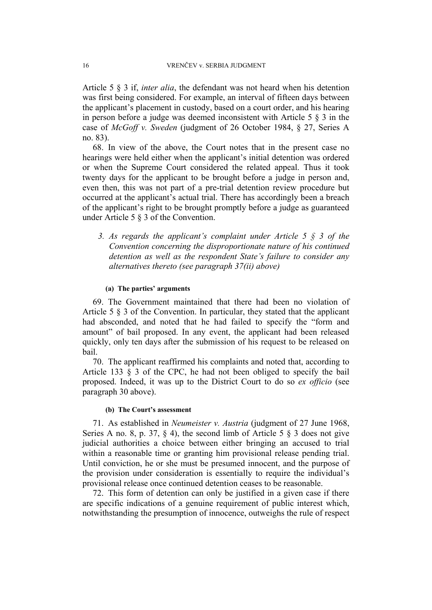Article 5 § 3 if, *inter alia*, the defendant was not heard when his detention was first being considered. For example, an interval of fifteen days between the applicant's placement in custody, based on a court order, and his hearing in person before a judge was deemed inconsistent with Article 5 § 3 in the case of *McGoff v. Sweden* (judgment of 26 October 1984, § 27, Series A no. 83).

68. In view of the above, the Court notes that in the present case no hearings were held either when the applicant's initial detention was ordered or when the Supreme Court considered the related appeal. Thus it took twenty days for the applicant to be brought before a judge in person and, even then, this was not part of a pre-trial detention review procedure but occurred at the applicant's actual trial. There has accordingly been a breach of the applicant's right to be brought promptly before a judge as guaranteed under Article 5 § 3 of the Convention.

*3. As regards the applicant's complaint under Article 5 § 3 of the Convention concerning the disproportionate nature of his continued detention as well as the respondent State's failure to consider any alternatives thereto (see paragraph 37(ii) above)* 

#### **(a) The parties' arguments**

69. The Government maintained that there had been no violation of Article 5 § 3 of the Convention. In particular, they stated that the applicant had absconded, and noted that he had failed to specify the "form and amount" of bail proposed. In any event, the applicant had been released quickly, only ten days after the submission of his request to be released on bail.

70. The applicant reaffirmed his complaints and noted that, according to Article 133 § 3 of the CPC, he had not been obliged to specify the bail proposed. Indeed, it was up to the District Court to do so *ex officio* (see paragraph 30 above).

#### **(b) The Court's assessment**

71. As established in *Neumeister v. Austria* (judgment of 27 June 1968, Series A no. 8, p. 37,  $\S$  4), the second limb of Article 5  $\S$  3 does not give judicial authorities a choice between either bringing an accused to trial within a reasonable time or granting him provisional release pending trial. Until conviction, he or she must be presumed innocent, and the purpose of the provision under consideration is essentially to require the individual's provisional release once continued detention ceases to be reasonable.

72. This form of detention can only be justified in a given case if there are specific indications of a genuine requirement of public interest which, notwithstanding the presumption of innocence, outweighs the rule of respect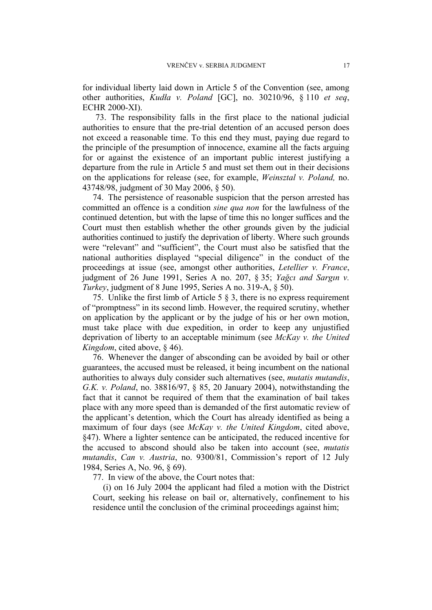for individual liberty laid down in Article 5 of the Convention (see, among other authorities, *Kudła v. Poland* [GC], no. 30210/96, § 110 *et seq*, ECHR 2000-XI).

73. The responsibility falls in the first place to the national judicial authorities to ensure that the pre-trial detention of an accused person does not exceed a reasonable time. To this end they must, paying due regard to the principle of the presumption of innocence, examine all the facts arguing for or against the existence of an important public interest justifying a departure from the rule in Article 5 and must set them out in their decisions on the applications for release (see, for example, *Weinsztal v. Poland,* no. 43748/98, judgment of 30 May 2006, § 50).

74. The persistence of reasonable suspicion that the person arrested has committed an offence is a condition *sine qua non* for the lawfulness of the continued detention, but with the lapse of time this no longer suffices and the Court must then establish whether the other grounds given by the judicial authorities continued to justify the deprivation of liberty. Where such grounds were "relevant" and "sufficient", the Court must also be satisfied that the national authorities displayed "special diligence" in the conduct of the proceedings at issue (see, amongst other authorities, *Letellier v. France*, judgment of 26 June 1991, Series A no. 207, § 35; *Yağcı and Sargın v. Turkey*, judgment of 8 June 1995, Series A no. 319-A, § 50).

75. Unlike the first limb of Article 5 § 3, there is no express requirement of "promptness" in its second limb. However, the required scrutiny, whether on application by the applicant or by the judge of his or her own motion, must take place with due expedition, in order to keep any unjustified deprivation of liberty to an acceptable minimum (see *McKay v. the United Kingdom*, cited above, § 46).

76. Whenever the danger of absconding can be avoided by bail or other guarantees, the accused must be released, it being incumbent on the national authorities to always duly consider such alternatives (see, *mutatis mutandis*, *G.K. v. Poland*, no. 38816/97, § 85, 20 January 2004), notwithstanding the fact that it cannot be required of them that the examination of bail takes place with any more speed than is demanded of the first automatic review of the applicant's detention, which the Court has already identified as being a maximum of four days (see *McKay v. the United Kingdom*, cited above, §47). Where a lighter sentence can be anticipated, the reduced incentive for the accused to abscond should also be taken into account (see, *mutatis mutandis*, *Can v. Austria*, no. 9300/81, Commission's report of 12 July 1984, Series A, No. 96, § 69).

77. In view of the above, the Court notes that:

(i) on 16 July 2004 the applicant had filed a motion with the District Court, seeking his release on bail or, alternatively, confinement to his residence until the conclusion of the criminal proceedings against him;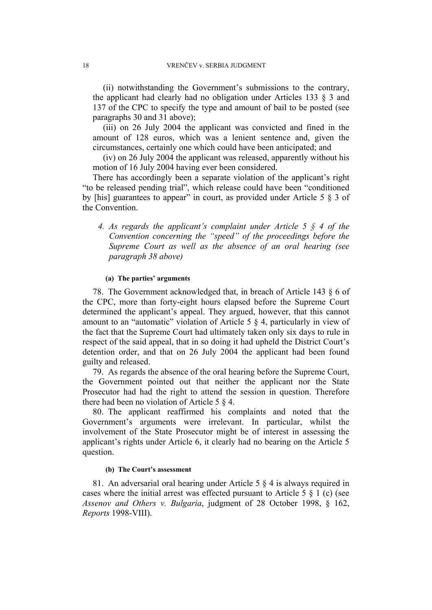(ii) notwithstanding the Government's submissions to the contrary, the applicant had clearly had no obligation under Articles 133 § 3 and 137 of the CPC to specify the type and amount of bail to be posted (see paragraphs 30 and 31 above);

(iii) on 26 July 2004 the applicant was convicted and fined in the amount of 128 euros, which was a lenient sentence and, given the circumstances, certainly one which could have been anticipated; and

(iv) on 26 July 2004 the applicant was released, apparently without his motion of 16 July 2004 having ever been considered.

There has accordingly been a separate violation of the applicant's right "to be released pending trial", which release could have been "conditioned by [his] guarantees to appear" in court, as provided under Article  $5 \& 3$  of the Convention.

*4. As regards the applicant's complaint under Article 5 § 4 of the Convention concerning the "speed" of the proceedings before the Supreme Court as well as the absence of an oral hearing (see paragraph 38 above)* 

### **(a) The parties' arguments**

78. The Government acknowledged that, in breach of Article 143 § 6 of the CPC, more than forty-eight hours elapsed before the Supreme Court determined the applicant's appeal. They argued, however, that this cannot amount to an "automatic" violation of Article 5  $\frac{1}{2}$  4, particularly in view of the fact that the Supreme Court had ultimately taken only six days to rule in respect of the said appeal, that in so doing it had upheld the District Court's detention order, and that on 26 July 2004 the applicant had been found guilty and released.

79. As regards the absence of the oral hearing before the Supreme Court, the Government pointed out that neither the applicant nor the State Prosecutor had had the right to attend the session in question. Therefore there had been no violation of Article 5 § 4.

80. The applicant reaffirmed his complaints and noted that the Government's arguments were irrelevant. In particular, whilst the involvement of the State Prosecutor might be of interest in assessing the applicant's rights under Article 6, it clearly had no bearing on the Article 5 question.

#### **(b) The Court's assessment**

81. An adversarial oral hearing under Article 5 § 4 is always required in cases where the initial arrest was effected pursuant to Article 5  $\S$  1 (c) (see *Assenov and Others v. Bulgaria*, judgment of 28 October 1998, § 162, *Reports* 1998-VIII).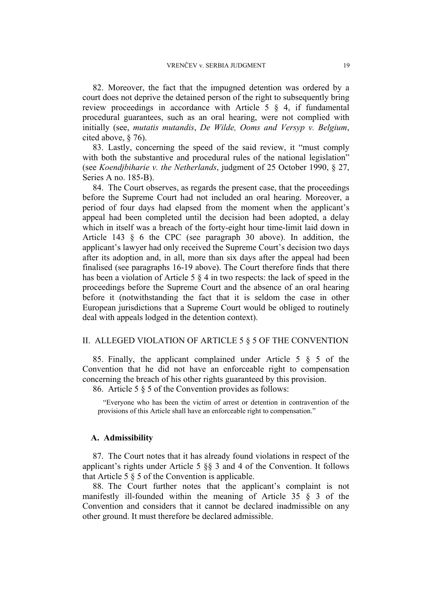82. Moreover, the fact that the impugned detention was ordered by a court does not deprive the detained person of the right to subsequently bring review proceedings in accordance with Article 5 § 4, if fundamental procedural guarantees, such as an oral hearing, were not complied with initially (see, *mutatis mutandis*, *De Wilde, Ooms and Versyp v. Belgium*, cited above, § 76).

83. Lastly, concerning the speed of the said review, it "must comply with both the substantive and procedural rules of the national legislation" (see *Koendjbiharie v. the Netherlands*, judgment of 25 October 1990, § 27, Series A no. 185-B).

84. The Court observes, as regards the present case, that the proceedings before the Supreme Court had not included an oral hearing. Moreover, a period of four days had elapsed from the moment when the applicant's appeal had been completed until the decision had been adopted, a delay which in itself was a breach of the forty-eight hour time-limit laid down in Article 143 § 6 the CPC (see paragraph 30 above). In addition, the applicant's lawyer had only received the Supreme Court's decision two days after its adoption and, in all, more than six days after the appeal had been finalised (see paragraphs 16-19 above). The Court therefore finds that there has been a violation of Article 5 § 4 in two respects: the lack of speed in the proceedings before the Supreme Court and the absence of an oral hearing before it (notwithstanding the fact that it is seldom the case in other European jurisdictions that a Supreme Court would be obliged to routinely deal with appeals lodged in the detention context).

### II. ALLEGED VIOLATION OF ARTICLE 5 § 5 OF THE CONVENTION

85. Finally, the applicant complained under Article 5 § 5 of the Convention that he did not have an enforceable right to compensation concerning the breach of his other rights guaranteed by this provision.

86. Article 5 § 5 of the Convention provides as follows:

"Everyone who has been the victim of arrest or detention in contravention of the provisions of this Article shall have an enforceable right to compensation."

#### **A. Admissibility**

87. The Court notes that it has already found violations in respect of the applicant's rights under Article 5 §§ 3 and 4 of the Convention. It follows that Article 5 § 5 of the Convention is applicable.

88. The Court further notes that the applicant's complaint is not manifestly ill-founded within the meaning of Article 35 § 3 of the Convention and considers that it cannot be declared inadmissible on any other ground. It must therefore be declared admissible.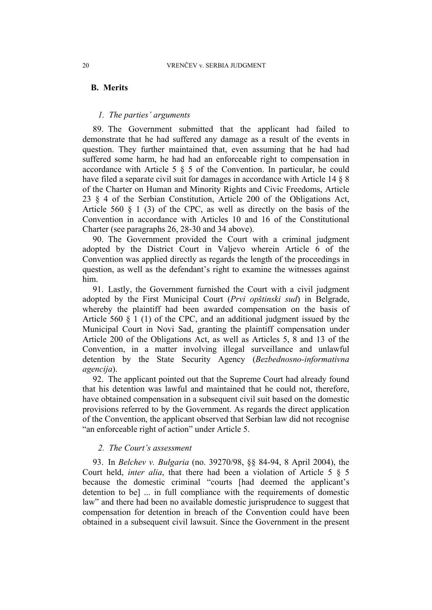### **B. Merits**

### *1. The parties' arguments*

89. The Government submitted that the applicant had failed to demonstrate that he had suffered any damage as a result of the events in question. They further maintained that, even assuming that he had had suffered some harm, he had had an enforceable right to compensation in accordance with Article 5 § 5 of the Convention. In particular, he could have filed a separate civil suit for damages in accordance with Article 14  $\S$  8 of the Charter on Human and Minority Rights and Civic Freedoms, Article 23 § 4 of the Serbian Constitution, Article 200 of the Obligations Act, Article 560 § 1 (3) of the CPC, as well as directly on the basis of the Convention in accordance with Articles 10 and 16 of the Constitutional Charter (see paragraphs 26, 28-30 and 34 above).

90. The Government provided the Court with a criminal judgment adopted by the District Court in Valjevo wherein Article 6 of the Convention was applied directly as regards the length of the proceedings in question, as well as the defendant's right to examine the witnesses against him.

91. Lastly, the Government furnished the Court with a civil judgment adopted by the First Municipal Court (*Prvi opštinski sud*) in Belgrade, whereby the plaintiff had been awarded compensation on the basis of Article 560 § 1 (1) of the CPC, and an additional judgment issued by the Municipal Court in Novi Sad, granting the plaintiff compensation under Article 200 of the Obligations Act, as well as Articles 5, 8 and 13 of the Convention, in a matter involving illegal surveillance and unlawful detention by the State Security Agency (*Bezbednosno-informativna agencija*).

92. The applicant pointed out that the Supreme Court had already found that his detention was lawful and maintained that he could not, therefore, have obtained compensation in a subsequent civil suit based on the domestic provisions referred to by the Government. As regards the direct application of the Convention, the applicant observed that Serbian law did not recognise "an enforceable right of action" under Article 5.

### *2. The Court's assessment*

93. In *Belchev v. Bulgaria* (no. 39270/98, §§ 84-94, 8 April 2004), the Court held, *inter alia*, that there had been a violation of Article 5 § 5 because the domestic criminal "courts [had deemed the applicant's detention to be] ... in full compliance with the requirements of domestic law" and there had been no available domestic jurisprudence to suggest that compensation for detention in breach of the Convention could have been obtained in a subsequent civil lawsuit. Since the Government in the present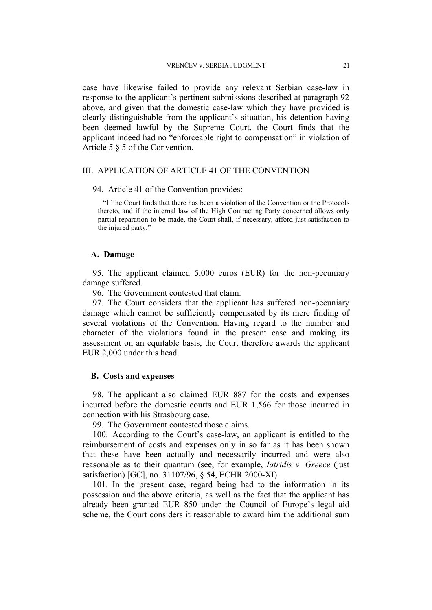case have likewise failed to provide any relevant Serbian case-law in response to the applicant's pertinent submissions described at paragraph 92 above, and given that the domestic case-law which they have provided is clearly distinguishable from the applicant's situation, his detention having been deemed lawful by the Supreme Court, the Court finds that the applicant indeed had no "enforceable right to compensation" in violation of Article 5 § 5 of the Convention.

### III. APPLICATION OF ARTICLE 41 OF THE CONVENTION

### 94. Article 41 of the Convention provides:

"If the Court finds that there has been a violation of the Convention or the Protocols thereto, and if the internal law of the High Contracting Party concerned allows only partial reparation to be made, the Court shall, if necessary, afford just satisfaction to the injured party."

#### **A. Damage**

95. The applicant claimed 5,000 euros (EUR) for the non-pecuniary damage suffered.

96. The Government contested that claim.

97. The Court considers that the applicant has suffered non-pecuniary damage which cannot be sufficiently compensated by its mere finding of several violations of the Convention. Having regard to the number and character of the violations found in the present case and making its assessment on an equitable basis, the Court therefore awards the applicant EUR 2,000 under this head.

### **B. Costs and expenses**

98. The applicant also claimed EUR 887 for the costs and expenses incurred before the domestic courts and EUR 1,566 for those incurred in connection with his Strasbourg case.

99. The Government contested those claims.

100. According to the Court's case-law, an applicant is entitled to the reimbursement of costs and expenses only in so far as it has been shown that these have been actually and necessarily incurred and were also reasonable as to their quantum (see, for example, *Iatridis v. Greece* (just satisfaction) [GC], no. 31107/96, § 54, ECHR 2000-XI).

101. In the present case, regard being had to the information in its possession and the above criteria, as well as the fact that the applicant has already been granted EUR 850 under the Council of Europe's legal aid scheme, the Court considers it reasonable to award him the additional sum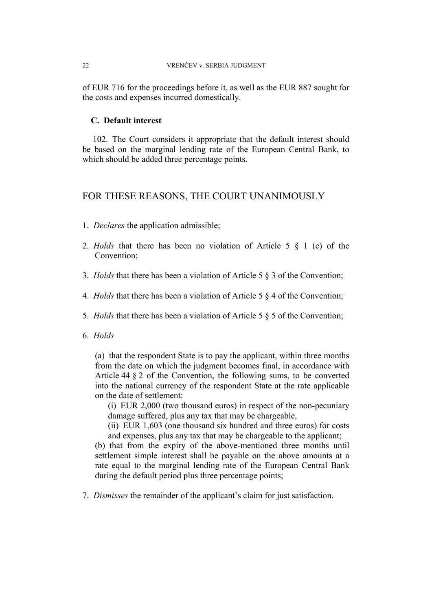of EUR 716 for the proceedings before it, as well as the EUR 887 sought for the costs and expenses incurred domestically.

### **C. Default interest**

102. The Court considers it appropriate that the default interest should be based on the marginal lending rate of the European Central Bank, to which should be added three percentage points.

### FOR THESE REASONS, THE COURT UNANIMOUSLY

- 1. *Declares* the application admissible;
- 2. *Holds* that there has been no violation of Article 5 § 1 (c) of the Convention;
- 3. *Holds* that there has been a violation of Article 5 § 3 of the Convention;
- 4. *Holds* that there has been a violation of Article 5 § 4 of the Convention;
- 5. *Holds* that there has been a violation of Article 5 § 5 of the Convention;
- 6. *Holds*

(a) that the respondent State is to pay the applicant, within three months from the date on which the judgment becomes final, in accordance with Article 44 § 2 of the Convention, the following sums, to be converted into the national currency of the respondent State at the rate applicable on the date of settlement:

(i) EUR 2,000 (two thousand euros) in respect of the non-pecuniary damage suffered, plus any tax that may be chargeable,

(ii) EUR 1,603 (one thousand six hundred and three euros) for costs and expenses, plus any tax that may be chargeable to the applicant;

(b) that from the expiry of the above-mentioned three months until settlement simple interest shall be payable on the above amounts at a rate equal to the marginal lending rate of the European Central Bank during the default period plus three percentage points;

7. *Dismisses* the remainder of the applicant's claim for just satisfaction.